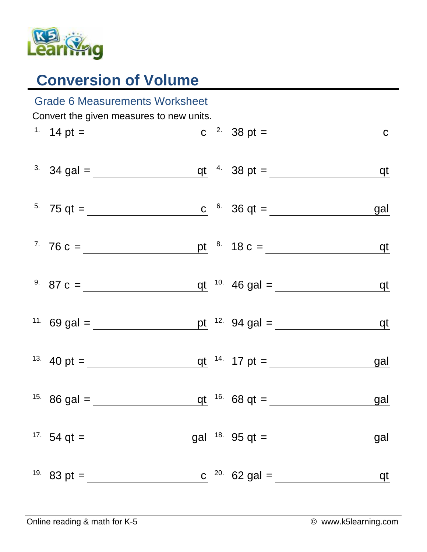

## **Conversion of Volume**

| <b>Grade 6 Measurements Worksheet</b>    |                                                                                                                  |  |  |                                    |            |  |  |  |  |
|------------------------------------------|------------------------------------------------------------------------------------------------------------------|--|--|------------------------------------|------------|--|--|--|--|
| Convert the given measures to new units. |                                                                                                                  |  |  |                                    |            |  |  |  |  |
|                                          | <sup>1</sup> 14 pt = <u>c</u> <sup>2</sup> 38 pt = <u>c</u> <sup>2</sup> c 38 pt = <u>c</u>                      |  |  |                                    |            |  |  |  |  |
|                                          | <sup>3</sup> 34 gal = $q t$ <sup>4</sup> 38 pt = $q t$                                                           |  |  |                                    |            |  |  |  |  |
|                                          | <sup>5</sup> 75 qt = <u>c</u> <sup>6</sup> 36 qt = <u>c</u> <sup>6</sup> 36 qt = <u>c</u> <sup>6</sup> 36 qt = c |  |  |                                    | <u>gal</u> |  |  |  |  |
|                                          | $7.76 c =$ pt $8.18 c =$ qt                                                                                      |  |  |                                    |            |  |  |  |  |
|                                          | <sup>9.</sup> 87 c = $q t$ <sup>10.</sup> 46 gal = $q t$                                                         |  |  |                                    |            |  |  |  |  |
|                                          | <sup>11.</sup> 69 gal =                                                                                          |  |  | pt $12.94$ gal = <u>qt</u>         |            |  |  |  |  |
|                                          | <sup>13.</sup> 40 pt = $q t^{-14}$ 17 pt =                                                                       |  |  |                                    | <u>gal</u> |  |  |  |  |
|                                          |                                                                                                                  |  |  | qt $16.68$ qt = <u>quality</u> gal |            |  |  |  |  |
|                                          | <sup>17.</sup> 54 qt = $\frac{ }{ }$                                                                             |  |  | gal $18.95$ qt =                   | <u>gal</u> |  |  |  |  |
|                                          | <sup>19.</sup> 83 pt = $\frac{ }{ }$                                                                             |  |  | c $^{20}$ 62 gal =                 | qt         |  |  |  |  |